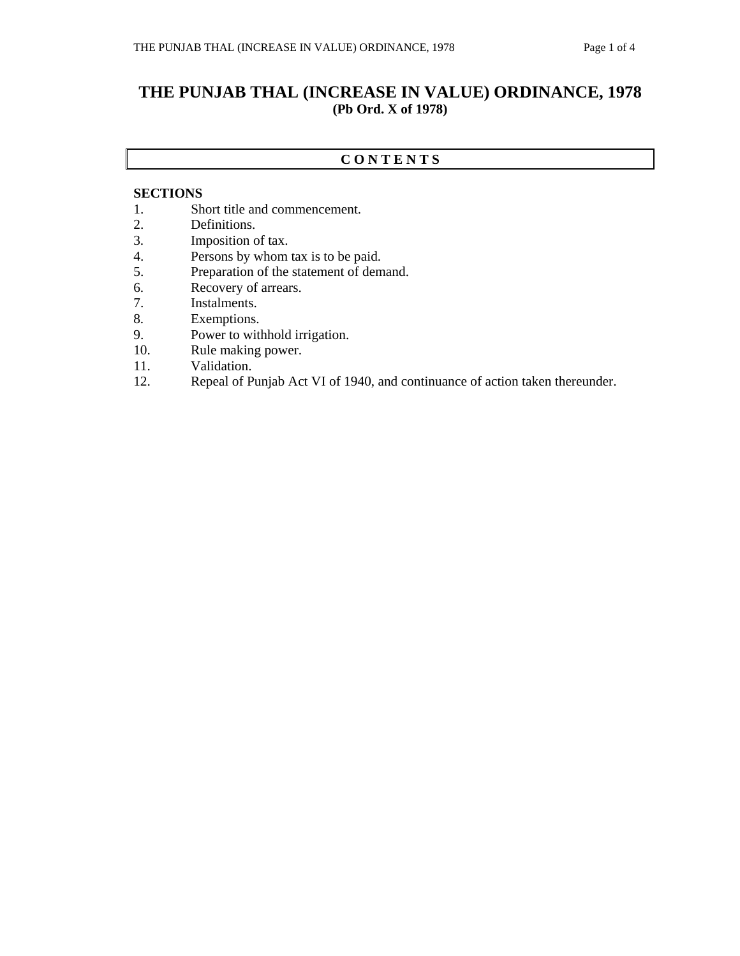# **THE PUNJAB THAL (INCREASE IN VALUE) ORDINANCE, 1978 (Pb Ord. X of 1978)**

### **C O N T E N T S**

#### **SECTIONS**

- 1. Short title and commencement.
- 2. Definitions.
- 3. Imposition of tax.
- 4. Persons by whom tax is to be paid.
- 5. Preparation of the statement of demand.
- 6. Recovery of arrears.
- 7. Instalments.
- 8. Exemptions.
- 9. Power to withhold irrigation.
- 10. Rule making power.
- 11. Validation.
- 12. Repeal of Punjab Act VI of 1940, and continuance of action taken thereunder.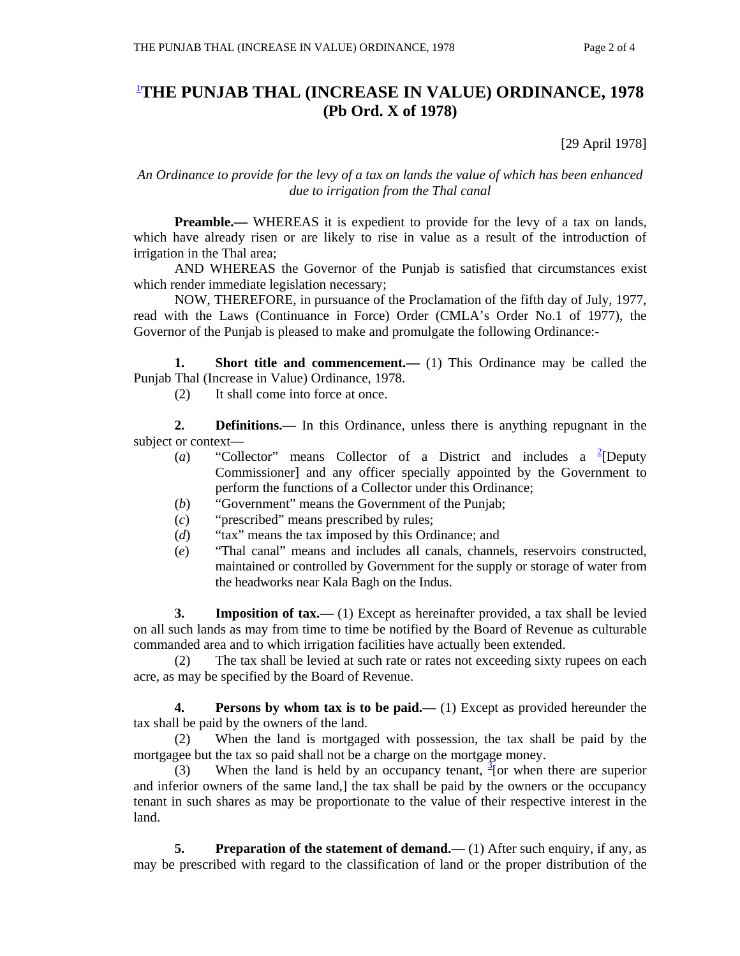# 1 **THE PUNJAB THAL (INCREASE IN VALUE) ORDINANCE, 1978 (Pb Ord. X of 1978)**

[29 April 1978]

### *An Ordinance to provide for the levy of a tax on lands the value of which has been enhanced due to irrigation from the Thal canal*

**Preamble.**— WHEREAS it is expedient to provide for the levy of a tax on lands, which have already risen or are likely to rise in value as a result of the introduction of irrigation in the Thal area;

 AND WHEREAS the Governor of the Punjab is satisfied that circumstances exist which render immediate legislation necessary;

 NOW, THEREFORE, in pursuance of the Proclamation of the fifth day of July, 1977, read with the Laws (Continuance in Force) Order (CMLA's Order No.1 of 1977), the Governor of the Punjab is pleased to make and promulgate the following Ordinance:-

**1.** Short title and commencement.— (1) This Ordinance may be called the Punjab Thal (Increase in Value) Ordinance, 1978.

(2) It shall come into force at once.

 **2. Definitions.—** In this Ordinance, unless there is anything repugnant in the subject or context—

- (*a*) "Collector" means Collector of a District and includes a <sup>2</sup>[Deputy Commissioner] and any officer specially appointed by the Government to perform the functions of a Collector under this Ordinance;
- (*b*) "Government" means the Government of the Punjab;
- (*c*) "prescribed" means prescribed by rules;
- (*d*) "tax" means the tax imposed by this Ordinance; and
- (*e*) "Thal canal" means and includes all canals, channels, reservoirs constructed, maintained or controlled by Government for the supply or storage of water from the headworks near Kala Bagh on the Indus.

**3.** Imposition of tax.—(1) Except as hereinafter provided, a tax shall be levied on all such lands as may from time to time be notified by the Board of Revenue as culturable commanded area and to which irrigation facilities have actually been extended.

 (2) The tax shall be levied at such rate or rates not exceeding sixty rupees on each acre, as may be specified by the Board of Revenue.

 **4. Persons by whom tax is to be paid.—** (1) Except as provided hereunder the tax shall be paid by the owners of the land.

 (2) When the land is mortgaged with possession, the tax shall be paid by the mortgagee but the tax so paid shall not be a charge on the mortgage money.

(3) When the land is held by an occupancy tenant,  $\frac{3}{2}$  [or when there are superior and inferior owners of the same land,] the tax shall be paid by the owners or the occupancy tenant in such shares as may be proportionate to the value of their respective interest in the land.

**5.** Preparation of the statement of demand.—(1) After such enquiry, if any, as may be prescribed with regard to the classification of land or the proper distribution of the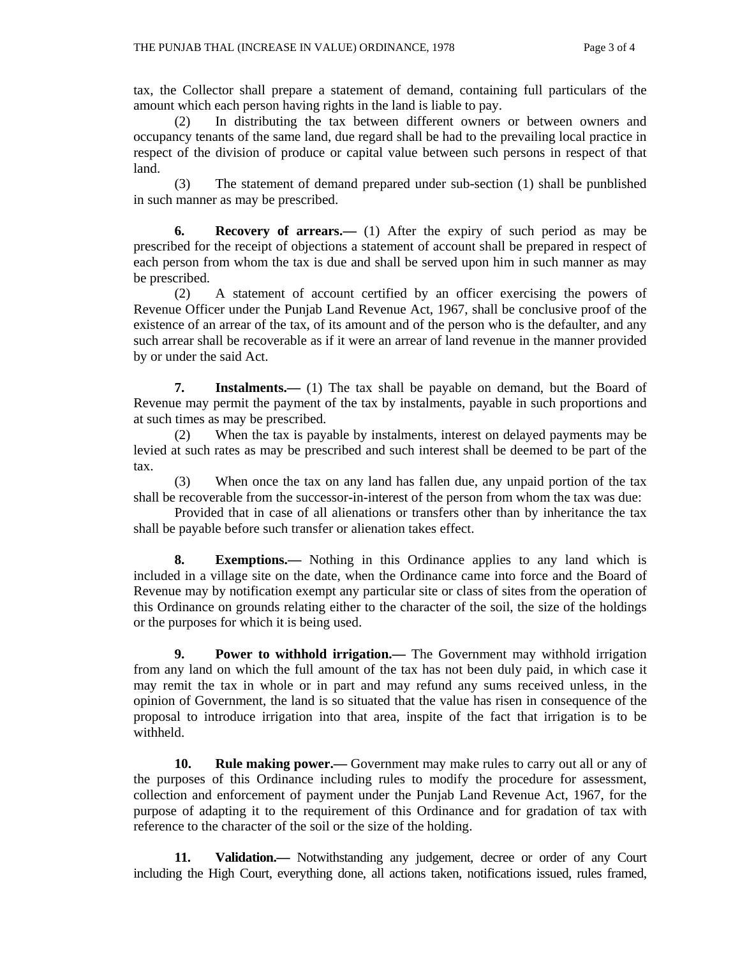tax, the Collector shall prepare a statement of demand, containing full particulars of the amount which each person having rights in the land is liable to pay.

 (2) In distributing the tax between different owners or between owners and occupancy tenants of the same land, due regard shall be had to the prevailing local practice in respect of the division of produce or capital value between such persons in respect of that land.

 (3) The statement of demand prepared under sub-section (1) shall be punblished in such manner as may be prescribed.

 **6. Recovery of arrears.—** (1) After the expiry of such period as may be prescribed for the receipt of objections a statement of account shall be prepared in respect of each person from whom the tax is due and shall be served upon him in such manner as may be prescribed.

 (2) A statement of account certified by an officer exercising the powers of Revenue Officer under the Punjab Land Revenue Act, 1967, shall be conclusive proof of the existence of an arrear of the tax, of its amount and of the person who is the defaulter, and any such arrear shall be recoverable as if it were an arrear of land revenue in the manner provided by or under the said Act.

**7.** Instalments.— (1) The tax shall be payable on demand, but the Board of Revenue may permit the payment of the tax by instalments, payable in such proportions and at such times as may be prescribed.

 (2) When the tax is payable by instalments, interest on delayed payments may be levied at such rates as may be prescribed and such interest shall be deemed to be part of the tax.

 (3) When once the tax on any land has fallen due, any unpaid portion of the tax shall be recoverable from the successor-in-interest of the person from whom the tax was due:

 Provided that in case of all alienations or transfers other than by inheritance the tax shall be payable before such transfer or alienation takes effect.

 **8. Exemptions.—** Nothing in this Ordinance applies to any land which is included in a village site on the date, when the Ordinance came into force and the Board of Revenue may by notification exempt any particular site or class of sites from the operation of this Ordinance on grounds relating either to the character of the soil, the size of the holdings or the purposes for which it is being used.

**9.** Power to withhold irrigation.— The Government may withhold irrigation from any land on which the full amount of the tax has not been duly paid, in which case it may remit the tax in whole or in part and may refund any sums received unless, in the opinion of Government, the land is so situated that the value has risen in consequence of the proposal to introduce irrigation into that area, inspite of the fact that irrigation is to be withheld.

 **10. Rule making power.—** Government may make rules to carry out all or any of the purposes of this Ordinance including rules to modify the procedure for assessment, collection and enforcement of payment under the Punjab Land Revenue Act, 1967, for the purpose of adapting it to the requirement of this Ordinance and for gradation of tax with reference to the character of the soil or the size of the holding.

 **11. Validation.—** Notwithstanding any judgement, decree or order of any Court including the High Court, everything done, all actions taken, notifications issued, rules framed,